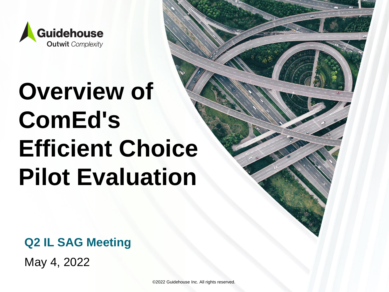

# **Overview of ComEd's Efficient Choice Pilot Evaluation**

**Q2 IL SAG Meeting**

May 4, 2022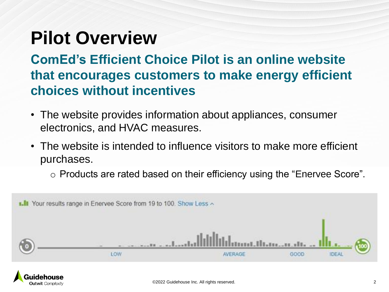#### **Pilot Overview**

**ComEd's Efficient Choice Pilot is an online website that encourages customers to make energy efficient choices without incentives**

- The website provides information about appliances, consumer electronics, and HVAC measures.
- The website is intended to influence visitors to make more efficient purchases.
	- o Products are rated based on their efficiency using the "Enervee Score".



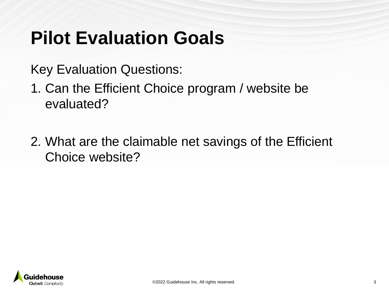#### **Pilot Evaluation Goals**

Key Evaluation Questions:

- 1. Can the Efficient Choice program / website be evaluated?
- 2. What are the claimable net savings of the Efficient Choice website?

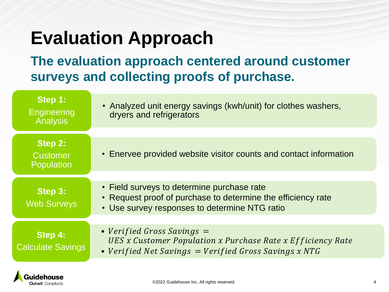### **Evaluation Approach**

**The evaluation approach centered around customer surveys and collecting proofs of purchase.**

| Step 1:<br>Engineering<br><b>Analysis</b> | • Analyzed unit energy savings (kwh/unit) for clothes washers,<br>dryers and refrigerators                                                                  |
|-------------------------------------------|-------------------------------------------------------------------------------------------------------------------------------------------------------------|
| Step 2:<br><b>Customer</b><br>Population  | • Enervee provided website visitor counts and contact information                                                                                           |
| Step 3:<br><b>Web Surveys</b>             | • Field surveys to determine purchase rate<br>• Request proof of purchase to determine the efficiency rate<br>• Use survey responses to determine NTG ratio |
| Step 4:<br><b>Calculate Savings</b>       | • Verified Gross Savings $=$<br>UES x Customer Population x Purchase Rate x Efficiency Rate<br>• Verified Net Savings $=$ Verified Gross Savings x NTG      |

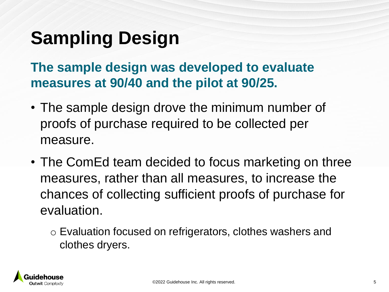# **Sampling Design**

**The sample design was developed to evaluate measures at 90/40 and the pilot at 90/25.** 

- The sample design drove the minimum number of proofs of purchase required to be collected per measure.
- The ComEd team decided to focus marketing on three measures, rather than all measures, to increase the chances of collecting sufficient proofs of purchase for evaluation.
	- o Evaluation focused on refrigerators, clothes washers and clothes dryers.

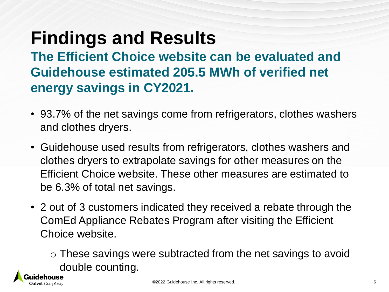# **Findings and Results**

**The Efficient Choice website can be evaluated and Guidehouse estimated 205.5 MWh of verified net energy savings in CY2021.** 

- 93.7% of the net savings come from refrigerators, clothes washers and clothes dryers.
- Guidehouse used results from refrigerators, clothes washers and clothes dryers to extrapolate savings for other measures on the Efficient Choice website. These other measures are estimated to be 6.3% of total net savings.
- 2 out of 3 customers indicated they received a rebate through the ComEd Appliance Rebates Program after visiting the Efficient Choice website.

 $\circ$  These savings were subtracted from the net savings to avoid double counting.

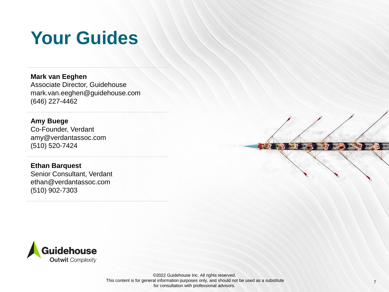#### **Your Guides**

**Mark van Eeghen** Associate Director, Guidehouse mark.van.eeghen@guidehouse.com (646) 227-4462

**Amy Buege**  Co-Founder, Verdant amy@verdantassoc.com (510) 520-7424

#### **Ethan Barquest**

Senior Consultant, Verdant ethan@verdantassoc.com (510) 902-7303





This content is for general information purposes only, and should not be used as a substitute ©2022 Guidehouse Inc. All rights reserved. for consultation with professional advisors.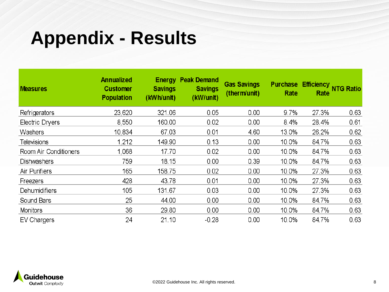#### **Appendix - Results**

| <b>Measures</b>       | <b>Annualized</b><br><b>Customer</b><br><b>Population</b> | <b>Energy</b><br><b>Savings</b><br>(kWh/unit) | <b>Peak Demand</b><br><b>Savings</b><br>(kW/unit) | <b>Gas Savings</b><br>(therm/unit) | <b>Purchase</b><br>Rate | Efficiency NTG Ratio<br>Rate |      |
|-----------------------|-----------------------------------------------------------|-----------------------------------------------|---------------------------------------------------|------------------------------------|-------------------------|------------------------------|------|
| Refrigerators         | 23,620                                                    | 321.06                                        | 0.05                                              | 0.00                               | 9.7%                    | 27.3%                        | 0.63 |
| Electric Dryers       | 8,550                                                     | 160.00                                        | 0.02                                              | 0.00                               | 8.4%                    | 28.4%                        | 0.61 |
| Washers               | 10,834                                                    | 67.03                                         | 0.01                                              | 4.60                               | 13.0%                   | 26.2%                        | 0.62 |
| <b>Televisions</b>    | 1,212                                                     | 149.90                                        | 0.13                                              | 0.00                               | 10.0%                   | 84.7%                        | 0.63 |
| Room Air Conditioners | 1,068                                                     | 17.70                                         | 0.02                                              | 0.00                               | 10.0%                   | 84.7%                        | 0.63 |
| Dishwashers           | 759                                                       | 18.15                                         | 0.00                                              | 0.39                               | 10.0%                   | 84.7%                        | 0.63 |
| Air Purifiers         | 165                                                       | 158.75                                        | 0.02                                              | 0.00                               | 10.0%                   | 27.3%                        | 0.63 |
| Freezers              | 428                                                       | 43.78                                         | 0.01                                              | 0.00                               | 10.0%                   | 27.3%                        | 0.63 |
| Dehumidifiers         | 105                                                       | 131.67                                        | 0.03                                              | 0.00                               | 10.0%                   | 27.3%                        | 0.63 |
| Sound Bars            | 25                                                        | 44.00                                         | 0.00                                              | 0.00                               | 10.0%                   | 84.7%                        | 0.63 |
| Monitors              | 36                                                        | 29.80                                         | 0.00                                              | 0.00                               | 10.0%                   | 84.7%                        | 0.63 |
| EV Chargers           | 24                                                        | 21.10                                         | $-0.28$                                           | 0.00                               | 10.0%                   | 84.7%                        | 0.63 |